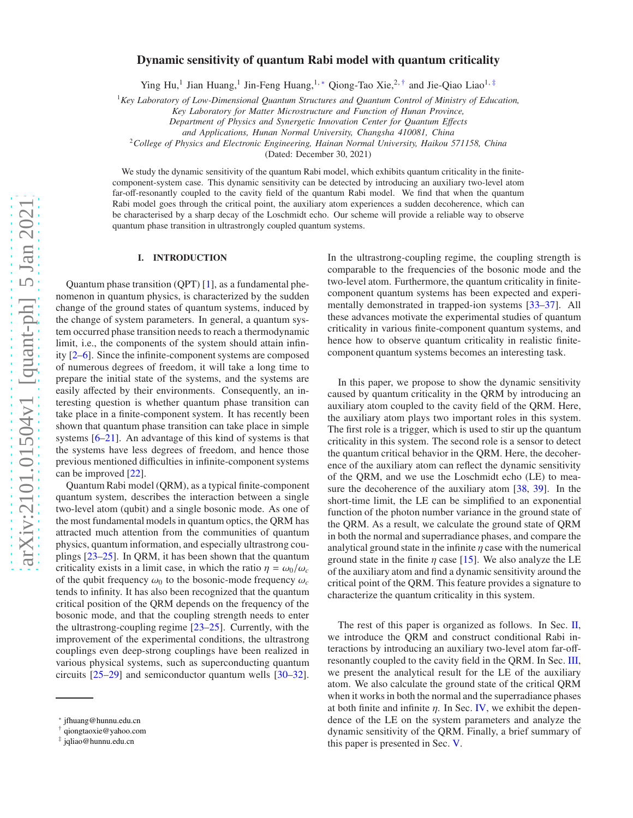# Dynamic sensitivity of quantum Rabi model with quantum criticality

Ying Hu,<sup>1</sup> Jian Huang,<sup>1</sup> Jin-Feng Huang,<sup>1,</sup> \* Qiong-Tao Xie,<sup>2,[†](#page-0-1)</sup> and Jie-Qiao Liao<sup>1,[‡](#page-0-2)</sup>

<sup>1</sup>*Key Laboratory of Low-Dimensional Quantum Structures and Quantum Control of Ministry of Education,*

*Key Laboratory for Matter Microstructure and Function of Hunan Province,*

*Department of Physics and Synergetic Innovation Center for Quantum E*ff*ects*

*and Applications, Hunan Normal University, Changsha 410081, China*

<sup>2</sup>*College of Physics and Electronic Engineering, Hainan Normal University, Haikou 571158, China*

(Dated: December 30, 2021)

We study the dynamic sensitivity of the quantum Rabi model, which exhibits quantum criticality in the finitecomponent-system case. This dynamic sensitivity can be detected by introducing an auxiliary two-level atom far-off-resonantly coupled to the cavity field of the quantum Rabi model. We find that when the quantum Rabi model goes through the critical point, the auxiliary atom experiences a sudden decoherence, which can be characterised by a sharp decay of the Loschmidt echo. Our scheme will provide a reliable way to observe quantum phase transition in ultrastrongly coupled quantum systems.

## I. INTRODUCTION

Quantum phase transition (QPT) [\[1](#page-7-0)], as a fundamental phenomenon in quantum physics, is characterized by the sudden change of the ground states of quantum systems, induced by the change of system parameters. In general, a quantum system occurred phase transition needs to reach a thermodynamic limit, i.e., the components of the system should attain infinity [\[2](#page-7-1)[–6\]](#page-7-2). Since the infinite-component systems are composed of numerous degrees of freedom, it will take a long time to prepare the initial state of the systems, and the systems are easily affected by their environments. Consequently, an interesting question is whether quantum phase transition can take place in a finite-component system. It has recently been shown that quantum phase transition can take place in simple systems [\[6](#page-7-2)[–21\]](#page-7-3). An advantage of this kind of systems is that the systems have less degrees of freedom, and hence those previous mentioned difficulties in infinite-component systems can be improved [\[22\]](#page-7-4).

Quantum Rabi model (QRM), as a typical finite-component quantum system, describes the interaction between a single two-level atom (qubit) and a single bosonic mode. As one of the most fundamental models in quantum optics, the QRM has attracted much attention from the communities of quantum physics, quantum information, and especially ultrastrong couplings [\[23](#page-7-5)[–25](#page-7-6)]. In QRM, it has been shown that the quantum criticality exists in a limit case, in which the ratio  $\eta = \omega_0/\omega_c$ of the qubit frequency  $\omega_0$  to the bosonic-mode frequency  $\omega_c$ tends to infinity. It has also been recognized that the quantum critical position of the QRM depends on the frequency of the bosonic mode, and that the coupling strength needs to enter the ultrastrong-coupling regime [\[23](#page-7-5)[–25\]](#page-7-6). Currently, with the improvement of the experimental conditions, the ultrastrong couplings even deep-strong couplings have been realized in various physical systems, such as superconducting quantum circuits [\[25](#page-7-6)[–29](#page-7-7)] and semiconductor quantum wells [\[30](#page-7-8)[–32](#page-7-9)]. In the ultrastrong-coupling regime, the coupling strength is comparable to the frequencies of the bosonic mode and the two-level atom. Furthermore, the quantum criticality in finitecomponent quantum systems has been expected and experimentally demonstrated in trapped-ion systems [\[33](#page-7-10)[–37](#page-7-11)]. All these advances motivate the experimental studies of quantum criticality in various finite-component quantum systems, and hence how to observe quantum criticality in realistic finitecomponent quantum systems becomes an interesting task.

In this paper, we propose to show the dynamic sensitivity caused by quantum criticality in the QRM by introducing an auxiliary atom coupled to the cavity field of the QRM. Here, the auxiliary atom plays two important roles in this system. The first role is a trigger, which is used to stir up the quantum criticality in this system. The second role is a sensor to detect the quantum critical behavior in the QRM. Here, the decoherence of the auxiliary atom can reflect the dynamic sensitivity of the QRM, and we use the Loschmidt echo (LE) to measure the decoherence of the auxiliary atom [\[38,](#page-8-0) [39\]](#page-8-1). In the short-time limit, the LE can be simplified to an exponential function of the photon number variance in the ground state of the QRM. As a result, we calculate the ground state of QRM in both the normal and superradiance phases, and compare the analytical ground state in the infinite  $\eta$  case with the numerical ground state in the finite  $\eta$  case [\[15](#page-7-12)]. We also analyze the LE of the auxiliary atom and find a dynamic sensitivity around the critical point of the QRM. This feature provides a signature to characterize the quantum criticality in this system.

The rest of this paper is organized as follows. In Sec. [II,](#page-1-0) we introduce the QRM and construct conditional Rabi interactions by introducing an auxiliary two-level atom far-offresonantly coupled to the cavity field in the QRM. In Sec. [III,](#page-1-1) we present the analytical result for the LE of the auxiliary atom. We also calculate the ground state of the critical QRM when it works in both the normal and the superradiance phases at both finite and infinite  $\eta$ . In Sec. [IV,](#page-5-0) we exhibit the dependence of the LE on the system parameters and analyze the dynamic sensitivity of the QRM. Finally, a brief summary of this paper is presented in Sec. [V.](#page-6-0)

<span id="page-0-0"></span><sup>∗</sup> [jfhuang@hunnu.edu.cn](mailto:jfhuang@hunnu.edu.cn)

<span id="page-0-1"></span><sup>†</sup> [qiongtaoxie@yahoo.com](mailto:qiongtaoxie@yahoo.com)

<span id="page-0-2"></span><sup>‡</sup> [jqliao@hunnu.edu.cn](mailto:jqliao@hunnu.edu.cn)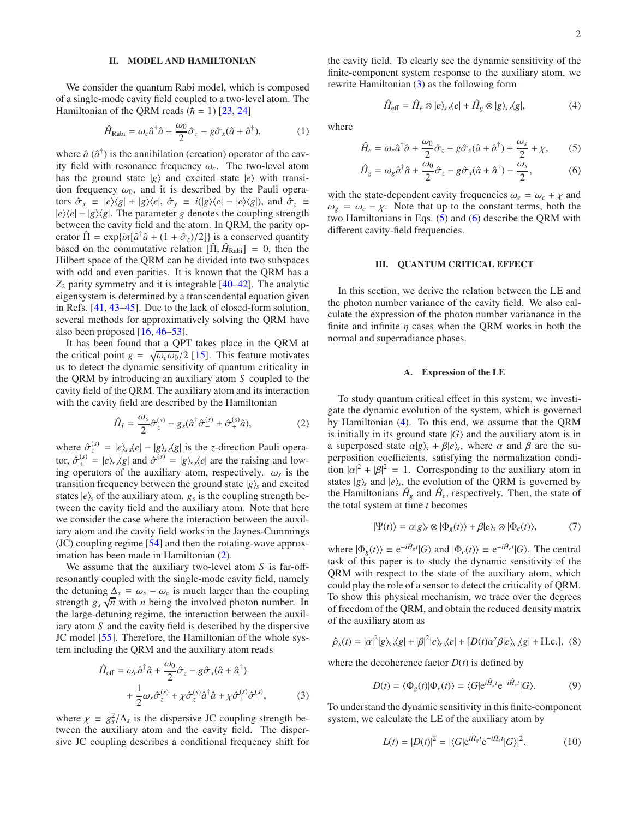## <span id="page-1-0"></span>II. MODEL AND HAMILTONIAN

We consider the quantum Rabi model, which is composed of a single-mode cavity field coupled to a two-level atom. The Hamiltonian of the QRM reads  $(h = 1)$  [\[23,](#page-7-5) [24\]](#page-7-13)

<span id="page-1-7"></span>
$$
\hat{H}_{\text{Rabi}} = \omega_c \hat{a}^\dagger \hat{a} + \frac{\omega_0}{2} \hat{\sigma}_z - g \hat{\sigma}_x (\hat{a} + \hat{a}^\dagger), \tag{1}
$$

where  $\hat{a}$  ( $\hat{a}^{\dagger}$ ) is the annihilation (creation) operator of the cavity field with resonance frequency  $\omega_c$ . The two-level atom has the ground state  $|g\rangle$  and excited state  $|e\rangle$  with transition frequency  $\omega_0$ , and it is described by the Pauli operators  $\hat{\sigma}_x \equiv |e\rangle\langle g| + |g\rangle\langle e|, \hat{\sigma}_y \equiv i(|g\rangle\langle e| - |e\rangle\langle g|)$ , and  $\hat{\sigma}_z \equiv$  $|e\rangle\langle e| - |g\rangle\langle g|$ . The parameter *g* denotes the coupling strength between the cavity field and the atom. In QRM, the parity operator  $\hat{\Pi} = \exp\{i\pi[\hat{a}^\dagger \hat{a} + (1 + \hat{\sigma}_z)/2]\}\)$  is a conserved quantity based on the commutative relation  $[\hat{\Pi}, \hat{H}_{\text{Rabi}}] = 0$ , then the Hilbert space of the QRM can be divided into two subspaces with odd and even parities. It is known that the QRM has a *Z*<sup>2</sup> parity symmetry and it is integrable [\[40](#page-8-2)[–42\]](#page-8-3). The analytic eigensystem is determined by a transcendental equation given in Refs. [\[41,](#page-8-4) [43](#page-8-5)[–45\]](#page-8-6). Due to the lack of closed-form solution, several methods for approximatively solving the QRM have also been proposed [\[16](#page-7-14), [46](#page-8-7)[–53](#page-8-8)].

It has been found that a QPT takes place in the QRM at the critical point  $g = \sqrt{\omega_c \omega_0}/2$  [\[15\]](#page-7-12). This feature motivates us to detect the dynamic sensitivity of quantum criticality in the QRM by introducing an auxiliary atom *S* coupled to the cavity field of the QRM. The auxiliary atom and its interaction with the cavity field are described by the Hamiltonian

<span id="page-1-2"></span>
$$
\hat{H}_I = \frac{\omega_s}{2} \hat{\sigma}_z^{(s)} - g_s(\hat{a}^\dagger \hat{\sigma}_-^{(s)} + \hat{\sigma}_+^{(s)} \hat{a}),\tag{2}
$$

where  $\hat{\sigma}_z^{(s)} = |e\rangle_s s\langle e| - |g\rangle_s s\langle g|$  is the *z*-direction Pauli operator,  $\hat{\sigma}_{+}^{(s)} = |e\rangle_{s} \hat{\beta}_{s}$  and  $\hat{\sigma}_{-}^{(s)} = |g\rangle_{s} \hat{\beta}_{s}$  are the raising and lowing operators of the auxiliary atom, respectively.  $\omega_s$  is the transition frequency between the ground state  $|g\rangle$ <sub>*s*</sub> and excited states  $|e\rangle$ *s* of the auxiliary atom.  $g_s$  is the coupling strength between the cavity field and the auxiliary atom. Note that here we consider the case where the interaction between the auxiliary atom and the cavity field works in the Jaynes-Cummings (JC) coupling regime [\[54](#page-8-9)] and then the rotating-wave approximation has been made in Hamiltonian [\(2\)](#page-1-2).

We assume that the auxiliary two-level atom *S* is far-offresonantly coupled with the single-mode cavity field, namely the detuning  $\Delta_s \equiv \omega_s - \omega_c$  is much larger than the coupling strength  $g_s \sqrt{n}$  with *n* being the involved photon number. In the large-detuning regime, the interaction between the auxiliary atom *S* and the cavity field is described by the dispersive JC model [\[55](#page-8-10)]. Therefore, the Hamiltonian of the whole system including the QRM and the auxiliary atom reads

$$
\hat{H}_{\text{eff}} = \omega_c \hat{a}^\dagger \hat{a} + \frac{\omega_0}{2} \hat{\sigma}_z - g \hat{\sigma}_x (\hat{a} + \hat{a}^\dagger) \n+ \frac{1}{2} \omega_s \hat{\sigma}_z^{(s)} + \chi \hat{\sigma}_z^{(s)} \hat{a}^\dagger \hat{a} + \chi \hat{\sigma}_+^{(s)} \hat{\sigma}_-^{(s)},
$$
\n(3)

where  $\chi = g_s^2 / \Delta_s$  is the dispersive JC coupling strength between the auxiliary atom and the cavity field. The dispersive JC coupling describes a conditional frequency shift for the cavity field. To clearly see the dynamic sensitivity of the finite-component system response to the auxiliary atom, we rewrite Hamiltonian [\(3\)](#page-1-3) as the following form

<span id="page-1-6"></span><span id="page-1-5"></span><span id="page-1-4"></span>
$$
\hat{H}_{\text{eff}} = \hat{H}_e \otimes |e\rangle_s s\langle e| + \hat{H}_g \otimes |g\rangle_s s\langle g|, \tag{4}
$$

where

$$
\hat{H}_e = \omega_e \hat{a}^\dagger \hat{a} + \frac{\omega_0}{2} \hat{\sigma}_z - g \hat{\sigma}_x (\hat{a} + \hat{a}^\dagger) + \frac{\omega_s}{2} + \chi, \qquad (5)
$$

$$
\hat{H}_g = \omega_g \hat{a}^\dagger \hat{a} + \frac{\omega_0}{2} \hat{\sigma}_z - g \hat{\sigma}_x (\hat{a} + \hat{a}^\dagger) - \frac{\omega_s}{2},\tag{6}
$$

with the state-dependent cavity frequencies  $\omega_e = \omega_c + \chi$  and  $\omega_{g} = \omega_{c} - \chi$ . Note that up to the constant terms, both the two Hamiltonians in Eqs. [\(5\)](#page-1-4) and [\(6\)](#page-1-5) describe the QRM with different cavity-field frequencies.

### <span id="page-1-1"></span>III. QUANTUM CRITICAL EFFECT

In this section, we derive the relation between the LE and the photon number variance of the cavity field. We also calculate the expression of the photon number varianance in the finite and infinite  $\eta$  cases when the QRM works in both the normal and superradiance phases.

### A. Expression of the LE

To study quantum critical effect in this system, we investigate the dynamic evolution of the system, which is governed by Hamiltonian [\(4\)](#page-1-6). To this end, we assume that the QRM is initially in its ground state  $|G\rangle$  and the auxiliary atom is in a superposed state  $\alpha|g\rangle_s + \beta|e\rangle_s$ , where  $\alpha$  and  $\beta$  are the superposition coefficients, satisfying the normalization condition  $|\alpha|^2 + |\beta|^2 = 1$ . Corresponding to the auxiliary atom in states  $|g\rangle$ <sub>s</sub> and  $|e\rangle$ <sub>s</sub>, the evolution of the QRM is governed by the Hamiltonians  $\hat{H}_g$  and  $\hat{H}_e$ , respectively. Then, the state of the total system at time *t* becomes

$$
|\Psi(t)\rangle = \alpha|g\rangle_s \otimes |\Phi_g(t)\rangle + \beta|e\rangle_s \otimes |\Phi_e(t)\rangle, \tag{7}
$$

where  $|\Phi_g(t)\rangle \equiv e^{-i\hat{H}_g t} |G\rangle$  and  $|\Phi_e(t)\rangle \equiv e^{-i\hat{H}_e t} |G\rangle$ . The central task of this paper is to study the dynamic sensitivity of the QRM with respect to the state of the auxiliary atom, which could play the role of a sensor to detect the criticality of QRM. To show this physical mechanism, we trace over the degrees of freedom of the QRM, and obtain the reduced density matrix of the auxiliary atom as

$$
\hat{\rho}_s(t) = |\alpha|^2 |g\rangle_s s\langle g| + |\beta|^2 |e\rangle_s s\langle e| + [D(t)\alpha^* \beta |e\rangle_s s\langle g| + \text{H.c.}], \tag{8}
$$

where the decoherence factor  $D(t)$  is defined by

$$
D(t) = \langle \Phi_g(t) | \Phi_e(t) \rangle = \langle G | e^{i\hat{H}_g t} e^{-i\hat{H}_e t} | G \rangle.
$$
 (9)

<span id="page-1-3"></span>To understand the dynamic sensitivity in this finite-component system, we calculate the LE of the auxiliary atom by

$$
L(t) = |D(t)|^2 = |\langle G|e^{i\hat{H}_g t}e^{-i\hat{H}_e t}|G\rangle|^2.
$$
 (10)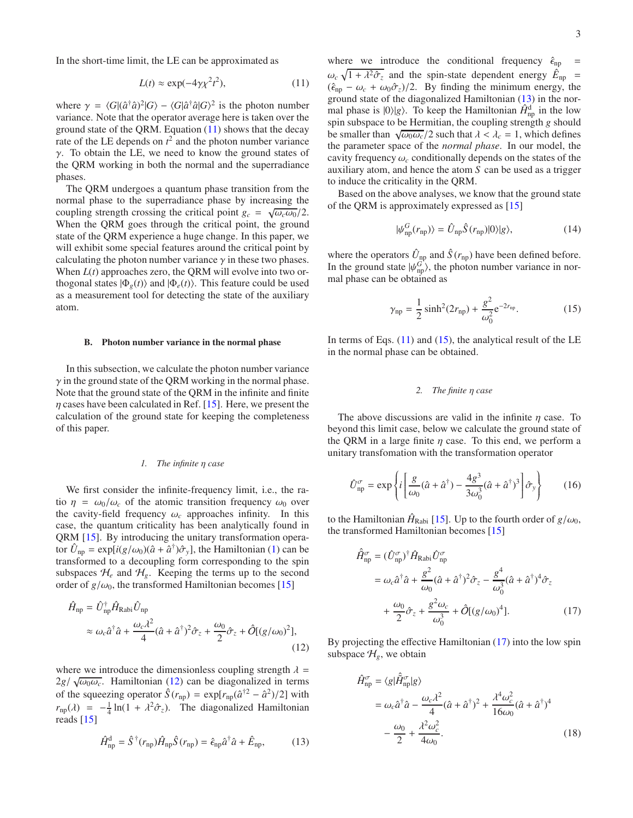In the short-time limit, the LE can be approximated as

<span id="page-2-0"></span>
$$
L(t) \approx \exp(-4\gamma \chi^2 t^2),\tag{11}
$$

where  $\gamma = \langle G | (\hat{a}^\dagger \hat{a})^2 | G \rangle - \langle G | \hat{a}^\dagger \hat{a} | G \rangle^2$  is the photon number variance. Note that the operator average here is taken over the ground state of the QRM. Equation [\(11\)](#page-2-0) shows that the decay rate of the LE depends on  $t^2$  and the photon number variance  $γ$ . To obtain the LE, we need to know the ground states of the QRM working in both the normal and the superradiance phases.

The QRM undergoes a quantum phase transition from the normal phase to the superradiance phase by increasing the coupling strength crossing the critical point  $g_c = \sqrt{\omega_c \omega_0}/2$ . When the QRM goes through the critical point, the ground state of the QRM experience a huge change. In this paper, we will exhibit some special features around the critical point by calculating the photon number variance  $\gamma$  in these two phases. When *L*(*t*) approaches zero, the QRM will evolve into two orthogonal states  $|\Phi_{e}(t)\rangle$  and  $|\Phi_{e}(t)\rangle$ . This feature could be used as a measurement tool for detecting the state of the auxiliary atom.

### B. Photon number variance in the normal phase

In this subsection, we calculate the photon number variance  $\gamma$  in the ground state of the QRM working in the normal phase. Note that the ground state of the QRM in the infinite and finite  $\eta$  cases have been calculated in Ref. [\[15\]](#page-7-12). Here, we present the calculation of the ground state for keeping the completeness of this paper.

# *1. The infinite* η *case*

We first consider the infinite-frequency limit, i.e., the ratio  $\eta = \omega_0/\omega_c$  of the atomic transition frequency  $\omega_0$  over the cavity-field frequency  $\omega_c$  approaches infinity. In this case, the quantum criticality has been analytically found in QRM [\[15\]](#page-7-12). By introducing the unitary transformation operator  $\hat{U}_{np} = \exp[i(g/\omega_0)(\hat{a} + \hat{a}^\dagger)\hat{\sigma}_y]$ , the Hamiltonian [\(1\)](#page-1-7) can be transformed to a decoupling form corresponding to the spin subspaces  $\mathcal{H}_e$  and  $\mathcal{H}_g$ . Keeping the terms up to the second order of  $g/\omega_0$ , the transformed Hamiltonian becomes [\[15\]](#page-7-12)

$$
\hat{H}_{\rm np} = \hat{U}_{\rm np}^{\dagger} \hat{H}_{\rm Rabi} \hat{U}_{\rm np}
$$
\n
$$
\approx \omega_c \hat{a}^{\dagger} \hat{a} + \frac{\omega_c \lambda^2}{4} (\hat{a} + \hat{a}^{\dagger})^2 \hat{\sigma}_z + \frac{\omega_0}{2} \hat{\sigma}_z + \hat{O}[(g/\omega_0)^2], \tag{12}
$$

where we introduce the dimensionless coupling strength  $\lambda =$  $2g/\sqrt{\omega_0\omega_c}$ . Hamiltonian [\(12\)](#page-2-1) can be diagonalized in terms of the squeezing operator  $\hat{S}(r_{np}) = \exp[r_{np}(\hat{a}^{\dagger 2} - \hat{a}^2)/2]$  with  $r_{\rm np}(\lambda) = -\frac{1}{4} \ln(1 + \lambda^2 \hat{\sigma}_z)$ . The diagonalized Hamiltonian reads [\[15\]](#page-7-12)

<span id="page-2-2"></span>
$$
\hat{H}_{\rm np}^{\rm d} = \hat{S}^{\dagger}(r_{\rm np})\hat{H}_{\rm np}\hat{S}(r_{\rm np}) = \hat{\epsilon}_{\rm np}\hat{a}^{\dagger}\hat{a} + \hat{E}_{\rm np},\tag{13}
$$

where we introduce the conditional frequency  $\hat{\epsilon}_{np}$  =  $\omega_c \sqrt{1 + \lambda^2 \hat{\sigma}_z}$  and the spin-state dependent energy  $\hat{E}_{np}$  =  $(\hat{\epsilon}_{np} - \omega_c + \omega_0 \hat{\sigma}_z)/2$ . By finding the minimum energy, the ground state of the diagonalized Hamiltonian [\(13\)](#page-2-2) in the normal phase is  $|0\rangle|g\rangle$ . To keep the Hamiltonian  $\hat{H}^d_{np}$  in the low spin subspace to be Hermitian, the coupling strength *g* should be smaller than  $\sqrt{\omega_0 \omega_c}/2$  such that  $\lambda < \lambda_c = 1$ , which defines the parameter space of the *normal phase*. In our model, the cavity frequency  $\omega_c$  conditionally depends on the states of the auxiliary atom, and hence the atom *S* can be used as a trigger to induce the criticality in the QRM.

Based on the above analyses, we know that the ground state of the QRM is approximately expressed as [\[15\]](#page-7-12)

$$
|\psi_{\rm np}^G(r_{\rm np})\rangle = \hat{U}_{\rm np}\hat{S}(r_{\rm np})|0\rangle|g\rangle,\tag{14}
$$

where the operators  $\hat{U}_{np}$  and  $\hat{S}(r_{np})$  have been defined before. In the ground state  $|\psi_{\text{np}}^G\rangle$ , the photon number variance in normal phase can be obtained as

<span id="page-2-3"></span>
$$
\gamma_{\rm np} = \frac{1}{2} \sinh^2(2r_{\rm np}) + \frac{g^2}{\omega_0^2} e^{-2r_{\rm np}}.
$$
 (15)

In terms of Eqs.  $(11)$  and  $(15)$ , the analytical result of the LE in the normal phase can be obtained.

# *2. The finite* η *case*

The above discussions are valid in the infinite  $\eta$  case. To beyond this limit case, below we calculate the ground state of the QRM in a large finite  $\eta$  case. To this end, we perform a unitary transfomation with the transformation operator

$$
\hat{U}_{\text{np}}^{\sigma} = \exp\left\{i\left[\frac{g}{\omega_0}(\hat{a} + \hat{a}^{\dagger}) - \frac{4g^3}{3\omega_0^3}(\hat{a} + \hat{a}^{\dagger})^3\right]\hat{\sigma}_y\right\} \tag{16}
$$

to the Hamiltonian  $\hat{H}_{\text{Rabi}}$  [\[15\]](#page-7-12). Up to the fourth order of  $g/\omega_0$ , the transformed Hamiltonian becomes [\[15](#page-7-12)]

<span id="page-2-4"></span>
$$
\hat{H}_{\text{np}}^{\sigma} = (\hat{U}_{\text{np}}^{\sigma})^{\dagger} \hat{H}_{\text{Rabi}} \hat{U}_{\text{np}}^{\sigma} \n= \omega_c \hat{a}^{\dagger} \hat{a} + \frac{g^2}{\omega_0} (\hat{a} + \hat{a}^{\dagger})^2 \hat{\sigma}_z - \frac{g^4}{\omega_0^3} (\hat{a} + \hat{a}^{\dagger})^4 \hat{\sigma}_z \n+ \frac{\omega_0}{2} \hat{\sigma}_z + \frac{g^2 \omega_c}{\omega_0^3} + \hat{O}[(g/\omega_0)^4].
$$
\n(17)

<span id="page-2-1"></span>By projecting the effective Hamiltonian [\(17\)](#page-2-4) into the low spin subspace  $\mathcal{H}_g$ , we obtain

<span id="page-2-5"></span>
$$
\hat{H}_{\text{np}}^{\sigma} = \langle g | \hat{H}_{\text{np}}^{\sigma} | g \rangle
$$
\n
$$
= \omega_c \hat{a}^{\dagger} \hat{a} - \frac{\omega_c \lambda^2}{4} (\hat{a} + \hat{a}^{\dagger})^2 + \frac{\lambda^4 \omega_c^2}{16 \omega_0} (\hat{a} + \hat{a}^{\dagger})^4
$$
\n
$$
- \frac{\omega_0}{2} + \frac{\lambda^2 \omega_c^2}{4 \omega_0}.
$$
\n(18)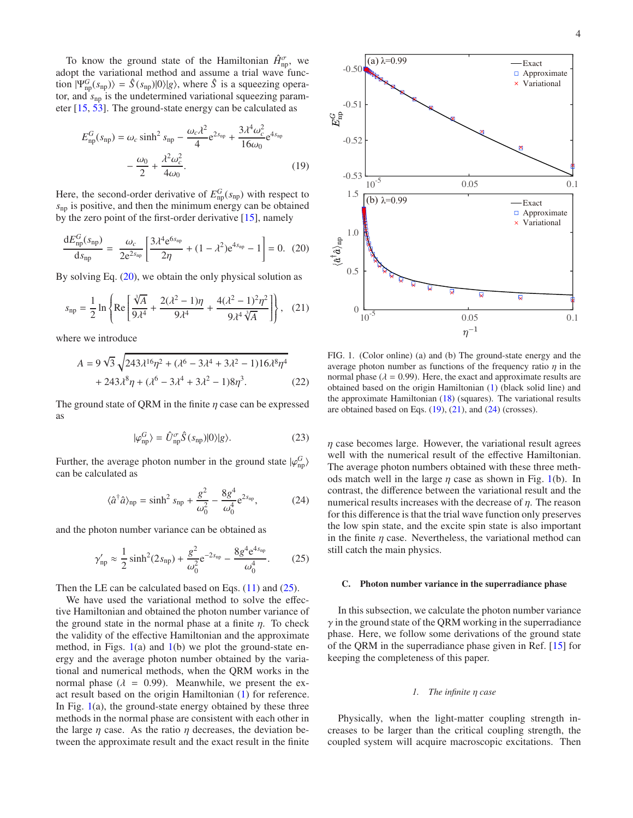To know the ground state of the Hamiltonian  $\hat{H}_{\text{np}}^{\sigma}$ , we adopt the variational method and assume a trial wave function  $|\Psi_{\text{np}}^G(s_{\text{np}})\rangle = \hat{S}(s_{\text{np}})|0\rangle|g\rangle$ , where  $\hat{S}$  is a squeezing operator, and  $s_{np}$  is the undetermined variational squeezing parameter [\[15,](#page-7-12) [53\]](#page-8-8). The ground-state energy can be calculated as

$$
E_{\rm np}^G(s_{\rm np}) = \omega_c \sinh^2 s_{\rm np} - \frac{\omega_c \lambda^2}{4} e^{2s_{\rm np}} + \frac{3\lambda^4 \omega_c^2}{16\omega_0} e^{4s_{\rm np}} - \frac{\omega_0}{2} + \frac{\lambda^2 \omega_c^2}{4\omega_0}.
$$
 (19)

Here, the second-order derivative of  $E_{\text{np}}^G(s_{\text{np}})$  with respect to *s*np is positive, and then the minimum energy can be obtained by the zero point of the first-order derivative [\[15](#page-7-12)], namely

<span id="page-3-0"></span>
$$
\frac{dE_{\rm np}^G(s_{\rm np})}{ds_{\rm np}} = \frac{\omega_c}{2e^{2s_{\rm np}}} \left[ \frac{3\lambda^4 e^{6s_{\rm np}}}{2\eta} + (1 - \lambda^2) e^{4s_{\rm np}} - 1 \right] = 0. \tag{20}
$$

By solving Eq. [\(20\)](#page-3-0), we obtain the only physical solution as

<span id="page-3-4"></span>
$$
s_{\rm np} = \frac{1}{2} \ln \left\{ \text{Re} \left[ \frac{\sqrt[3]{A}}{9\lambda^4} + \frac{2(\lambda^2 - 1)\eta}{9\lambda^4} + \frac{4(\lambda^2 - 1)^2 \eta^2}{9\lambda^4 \sqrt[3]{A}} \right] \right\}, \quad (21)
$$

where we introduce

$$
A = 9\sqrt{3}\sqrt{243\lambda^{16}\eta^{2} + (\lambda^{6} - 3\lambda^{4} + 3\lambda^{2} - 1)16\lambda^{8}\eta^{4}}
$$
  
+ 243\lambda^{8}\eta + (\lambda^{6} - 3\lambda^{4} + 3\lambda^{2} - 1)8\eta^{3}. (22)

The ground state of QRM in the finite  $\eta$  case can be expressed as

$$
|\varphi_{\rm np}^G\rangle = \hat{U}_{\rm np}^{\sigma}\hat{S}(s_{\rm np})|0\rangle|g\rangle.
$$
 (23)

Further, the average photon number in the ground state  $|\varphi_{\rm np}^G\rangle$ can be calculated as

<span id="page-3-5"></span>
$$
\langle \hat{a}^{\dagger} \hat{a} \rangle_{\rm np} = \sinh^2 s_{\rm np} + \frac{g^2}{\omega_0^2} - \frac{8g^4}{\omega_0^4} e^{2s_{\rm np}},\tag{24}
$$

and the photon number variance can be obtained as

<span id="page-3-1"></span>
$$
\gamma'_{\rm np} \approx \frac{1}{2} \sinh^2(2s_{\rm np}) + \frac{g^2}{\omega_0^2} e^{-2s_{\rm np}} - \frac{8g^4 e^{4s_{\rm np}}}{\omega_0^4}.
$$
 (25)

Then the LE can be calculated based on Eqs.  $(11)$  and  $(25)$ .

We have used the variational method to solve the effective Hamiltonian and obtained the photon number variance of the ground state in the normal phase at a finite  $\eta$ . To check the validity of the effective Hamiltonian and the approximate method, in Figs.  $1(a)$  $1(a)$  and  $1(b)$  we plot the ground-state energy and the average photon number obtained by the variational and numerical methods, when the QRM works in the normal phase ( $\lambda = 0.99$ ). Meanwhile, we present the exact result based on the origin Hamiltonian [\(1\)](#page-1-7) for reference. In Fig.  $1(a)$  $1(a)$ , the ground-state energy obtained by these three methods in the normal phase are consistent with each other in the large  $\eta$  case. As the ratio  $\eta$  decreases, the deviation between the approximate result and the exact result in the finite

<span id="page-3-3"></span>

<span id="page-3-2"></span>FIG. 1. (Color online) (a) and (b) The ground-state energy and the average photon number as functions of the frequency ratio  $\eta$  in the normal phase ( $\lambda = 0.99$ ). Here, the exact and approximate results are obtained based on the origin Hamiltonian [\(1\)](#page-1-7) (black solid line) and the approximate Hamiltonian [\(18\)](#page-2-5) (squares). The variational results are obtained based on Eqs.  $(19)$ ,  $(21)$ , and  $(24)$  (crosses).

 $\eta$  case becomes large. However, the variational result agrees well with the numerical result of the effective Hamiltonian. The average photon numbers obtained with these three methods match well in the large  $\eta$  case as shown in Fig. [1\(](#page-3-2)b). In contrast, the difference between the variational result and the numerical results increases with the decrease of  $\eta$ . The reason for this difference is that the trial wave function only preserves the low spin state, and the excite spin state is also important in the finite  $\eta$  case. Nevertheless, the variational method can still catch the main physics.

# C. Photon number variance in the superradiance phase

In this subsection, we calculate the photon number variance  $\gamma$  in the ground state of the QRM working in the superradiance phase. Here, we follow some derivations of the ground state of the QRM in the superradiance phase given in Ref. [\[15\]](#page-7-12) for keeping the completeness of this paper.

### *1. The infinite* η *case*

Physically, when the light-matter coupling strength increases to be larger than the critical coupling strength, the coupled system will acquire macroscopic excitations. Then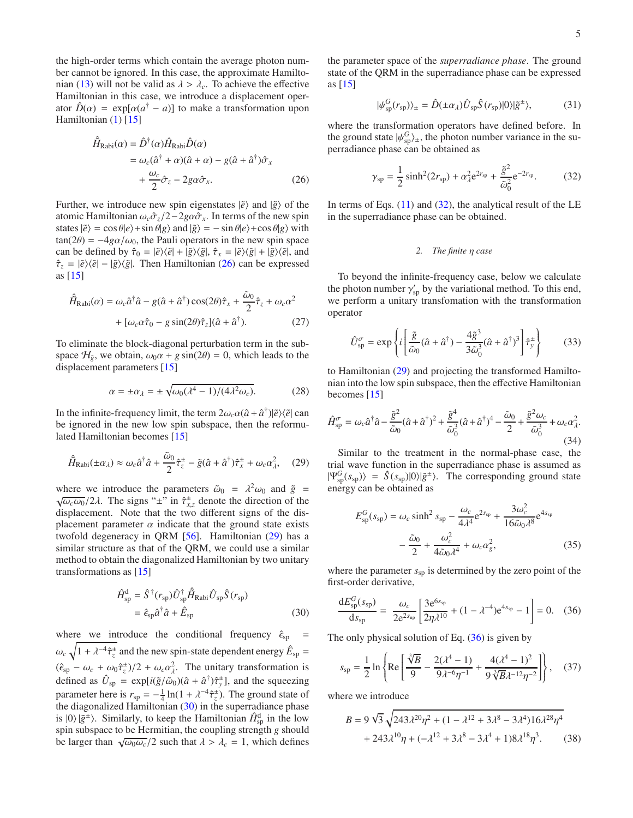the high-order terms which contain the average photon number cannot be ignored. In this case, the approximate Hamilto-nian [\(13\)](#page-2-2) will not be valid as  $\lambda > \lambda_c$ . To achieve the effective Hamiltonian in this case, we introduce a displacement operator  $\hat{D}(\alpha) = \exp[\alpha(a^{\dagger} - a)]$  to make a transformation upon Hamiltonian  $(1)$  [\[15\]](#page-7-12)

$$
\hat{H}_{\text{Rabi}}(\alpha) = \hat{D}^{\dagger}(\alpha)\hat{H}_{\text{Rabi}}\hat{D}(\alpha)
$$
\n
$$
= \omega_c(\hat{a}^{\dagger} + \alpha)(\hat{a} + \alpha) - g(\hat{a} + \hat{a}^{\dagger})\hat{\sigma}_x
$$
\n
$$
+ \frac{\omega_c}{2}\hat{\sigma}_z - 2g\alpha\hat{\sigma}_x. \tag{26}
$$

Further, we introduce new spin eigenstates  $|\tilde{e}\rangle$  and  $|\tilde{g}\rangle$  of the atomic Hamiltonian  $\omega_c \hat{\sigma}_z/2 - 2g\alpha \hat{\sigma}_x$ . In terms of the new spin states  $|\tilde{e}\rangle = \cos \theta |e\rangle + \sin \theta |g\rangle$  and  $|\tilde{g}\rangle = -\sin \theta |e\rangle + \cos \theta |g\rangle$  with  $tan(2\theta) = -4g\alpha/\omega_0$ , the Pauli operators in the new spin space can be defined by  $\hat{\tau}_0 = |\tilde{e}\rangle\langle\tilde{e}| + |\tilde{g}\rangle\langle\tilde{g}|, \hat{\tau}_x = |\tilde{e}\rangle\langle\tilde{g}| + |\tilde{g}\rangle\langle\tilde{e}|,$  and  $\hat{\tau}_z = |\tilde{e}\rangle\langle\tilde{e}| - |\tilde{g}\rangle\langle\tilde{g}|$ . Then Hamiltonian [\(26\)](#page-4-0) can be expressed as  $[15]$ 

$$
\hat{H}_{\text{Rabi}}(\alpha) = \omega_c \hat{a}^\dagger \hat{a} - g(\hat{a} + \hat{a}^\dagger) \cos(2\theta) \hat{\tau}_x + \frac{\tilde{\omega}_0}{2} \hat{\tau}_z + \omega_c \alpha^2 \n+ [\omega_c \alpha \hat{\tau}_0 - g \sin(2\theta) \hat{\tau}_z](\hat{a} + \hat{a}^\dagger).
$$
\n(27)

To eliminate the block-diagonal perturbation term in the subspace  $H_{\tilde{g}}$ , we obtain,  $\omega_0 \alpha + g \sin(2\theta) = 0$ , which leads to the displacement parameters [\[15\]](#page-7-12)

$$
\alpha = \pm \alpha_{\lambda} = \pm \sqrt{\omega_0 (\lambda^4 - 1) / (4 \lambda^2 \omega_c)}.
$$
 (28)

In the infinite-frequency limit, the term  $2\omega_c\alpha(\hat{a} + \hat{a}^\dagger)|\tilde{e}\rangle\langle\tilde{e}|\text{ can}$ be ignored in the new low spin subspace, then the reformulated Hamiltonian becomes [\[15\]](#page-7-12)

<span id="page-4-1"></span>
$$
\hat{H}_{\text{Rabi}}(\pm \alpha_{\lambda}) \approx \omega_c \hat{a}^{\dagger} \hat{a} + \frac{\tilde{\omega}_0}{2} \hat{\tau}_z^{\pm} - \tilde{g}(\hat{a} + \hat{a}^{\dagger}) \hat{\tau}_x^{\pm} + \omega_c \alpha_{\lambda}^2, \quad (29)
$$

where we introduce the parameters  $\tilde{\omega}_0 = \lambda^2 \omega_0$  and  $\tilde{g} = \sqrt{\omega_0 \omega_0}/2\lambda$ . The signs "+" in  $\hat{\tau}$ <sup>+</sup> denote the direction of the  $\omega_c \omega_0/2\lambda$ . The signs " $\pm$ " in  $\hat{\tau}_{x,z}^{\pm}$  denote the direction of the displacement. Note that the two different signs of the displacement parameter  $\alpha$  indicate that the ground state exists twofold degeneracy in QRM [\[56\]](#page-8-11). Hamiltonian [\(29\)](#page-4-1) has a similar structure as that of the QRM, we could use a similar method to obtain the diagonalized Hamiltonian by two unitary transformations as [\[15](#page-7-12)]

$$
\hat{H}_{\rm sp}^{\rm d} = \hat{S}^{\dagger}(r_{\rm sp})\hat{U}_{\rm sp}^{\dagger}\hat{H}_{\rm Rabi}\hat{U}_{\rm sp}\hat{S}(r_{\rm sp})
$$

$$
= \hat{\epsilon}_{\rm sp}\hat{a}^{\dagger}\hat{a} + \hat{E}_{\rm sp}
$$
(30)

where we introduce the conditional frequency  $\hat{\epsilon}_{sp}$  $\omega_c \sqrt{1 + \lambda^{-4} \hat{\tau}_z^2}$  and the new spin-state dependent energy  $\hat{E}_{\text{sp}} =$  $(\hat{\epsilon}_{sp} - \omega_c + \omega_0 \hat{\tau}_z^2)/2 + \omega_c \alpha_{\lambda}^2$ . The unitary transformation is defined as  $\hat{U}_{sp} = \exp[i(\tilde{g}/\tilde{\omega}_0)(\hat{a} + \hat{a}^\dagger)\hat{\tau}_y^{\pm}]$ , and the squeezing parameter here is  $r_{sp} = -\frac{1}{4} \ln(1 + \lambda^{-4} \hat{\tau}_z^{\pm})$ . The ground state of the diagonalized Hamiltonian  $(30)$  in the superradiance phase is  $|0\rangle |\tilde{g}^{\pm}\rangle$ . Similarly, to keep the Hamiltonian  $\hat{H}_{\text{sp}}^{\text{d}}$  in the low spin subspace to be Hermitian, the coupling strength *g* should be larger than  $\sqrt{\omega_0 \omega_c}/2$  such that  $\lambda > \lambda_c = 1$ , which defines the parameter space of the *superradiance phase*. The ground state of the QRM in the superradiance phase can be expressed as [\[15](#page-7-12)]

$$
|\psi_{\rm sp}^G(r_{\rm sp})\rangle_{\pm} = \hat{D}(\pm \alpha_{\lambda})\hat{U}_{\rm sp}\hat{S}(r_{\rm sp})|0\rangle|\tilde{g}^{\pm}\rangle,\tag{31}
$$

where the transformation operators have defined before. In the ground state  $|\psi_{\text{sp}}^G\rangle_{\pm}$ , the photon number variance in the superradiance phase can be obtained as

<span id="page-4-3"></span>
$$
\gamma_{sp} = \frac{1}{2}\sinh^2(2r_{sp}) + \alpha_A^2 e^{2r_{sp}} + \frac{\tilde{g}^2}{\tilde{\omega}_0^2} e^{-2r_{sp}}.
$$
 (32)

<span id="page-4-0"></span>In terms of Eqs.  $(11)$  and  $(32)$ , the analytical result of the LE in the superradiance phase can be obtained.

## *2. The finite* η *case*

To beyond the infinite-frequency case, below we calculate the photon number  $\gamma'_{sp}$  by the variational method. To this end, we perform a unitary transfomation with the transformation operator

$$
\hat{U}_{\rm sp}^{\sigma} = \exp\left\{i\left[\frac{\tilde{g}}{\tilde{\omega}_0}(\hat{a} + \hat{a}^{\dagger}) - \frac{4\tilde{g}^3}{3\tilde{\omega}_0^3}(\hat{a} + \hat{a}^{\dagger})^3\right]\hat{\tau}_{\rm y}^{\pm}\right\} \tag{33}
$$

to Hamiltonian [\(29\)](#page-4-1) and projecting the transformed Hamiltonian into the low spin subspace, then the effective Hamiltonian becomes [\[15\]](#page-7-12)

<span id="page-4-5"></span>
$$
\hat{H}^{\sigma}_{\rm sp} = \omega_c \hat{a}^{\dagger} \hat{a} - \frac{\tilde{g}^2}{\tilde{\omega}_0} (\hat{a} + \hat{a}^{\dagger})^2 + \frac{\tilde{g}^4}{\tilde{\omega}_0^3} (\hat{a} + \hat{a}^{\dagger})^4 - \frac{\tilde{\omega}_0}{2} + \frac{\tilde{g}^2 \omega_c}{\tilde{\omega}_0^3} + \omega_c \alpha_{\lambda}^2.
$$
\n(34)

Similar to the treatment in the normal-phase case, the trial wave function in the superradiance phase is assumed as  $|\Psi_{\text{sp}}^G(s_{\text{sp}})\rangle = \hat{S}(s_{\text{sp}})|0\rangle|\tilde{g}^{\pm}\rangle$ . The corresponding ground state energy can be obtained as

<span id="page-4-6"></span>
$$
E_{\rm sp}^G(s_{\rm sp}) = \omega_c \sinh^2 s_{\rm sp} - \frac{\omega_c}{4\lambda^4} e^{2s_{\rm sp}} + \frac{3\omega_c^2}{16\tilde{\omega}_0 \lambda^8} e^{4s_{\rm sp}}
$$

$$
-\frac{\tilde{\omega}_0}{2} + \frac{\omega_c^2}{4\tilde{\omega}_0 \lambda^4} + \omega_c \alpha_g^2,
$$
(35)

where the parameter  $s_{sp}$  is determined by the zero point of the first-order derivative,

<span id="page-4-4"></span>
$$
\frac{dE_{\rm sp}^G(s_{\rm sp})}{ds_{\rm sp}} = \frac{\omega_c}{2e^{2s_{\rm np}}} \left[ \frac{3e^{6s_{\rm sp}}}{2\eta \lambda^{10}} + (1 - \lambda^{-4})e^{4s_{\rm sp}} - 1 \right] = 0. \quad (36)
$$

<span id="page-4-2"></span>The only physical solution of Eq.  $(36)$  is given by

<span id="page-4-7"></span>
$$
s_{sp} = \frac{1}{2} \ln \left\{ \text{Re} \left[ \frac{\sqrt[3]{B}}{9} - \frac{2(\lambda^4 - 1)}{9\lambda^{-6} \eta^{-1}} + \frac{4(\lambda^4 - 1)^2}{9\sqrt[3]{B} \lambda^{-12} \eta^{-2}} \right] \right\}, \quad (37)
$$

where we introduce

$$
B = 9\sqrt{3}\sqrt{243\lambda^{20}\eta^{2} + (1 - \lambda^{12} + 3\lambda^{8} - 3\lambda^{4})16\lambda^{28}\eta^{4}}
$$
  
+ 243\lambda^{10}\eta + (-\lambda^{12} + 3\lambda^{8} - 3\lambda^{4} + 1)8\lambda^{18}\eta^{3}. (38)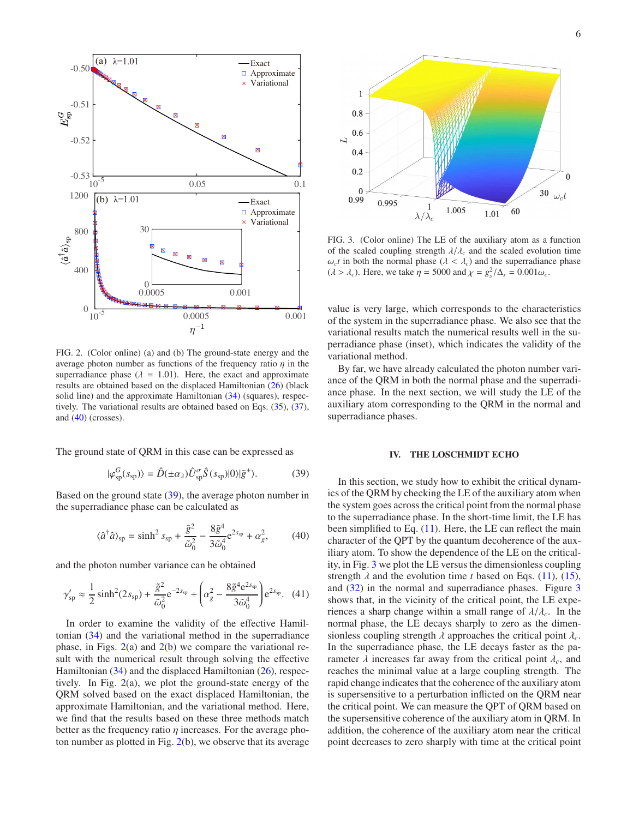

<span id="page-5-3"></span>FIG. 2. (Color online) (a) and (b) The ground-state energy and the average photon number as functions of the frequency ratio  $\eta$  in the superradiance phase ( $\lambda = 1.01$ ). Here, the exact and approximate results are obtained based on the displaced Hamiltonian [\(26\)](#page-4-0) (black solid line) and the approximate Hamiltonian [\(34\)](#page-4-5) (squares), respectively. The variational results are obtained based on Eqs. [\(35\)](#page-4-6), [\(37\)](#page-4-7), and [\(40\)](#page-5-1) (crosses).

The ground state of QRM in this case can be expressed as

<span id="page-5-2"></span>
$$
|\varphi_{\rm sp}^G(s_{\rm sp})\rangle = \hat{D}(\pm \alpha_{\lambda})\hat{U}_{\rm sp}^{\sigma}\hat{S}(s_{\rm sp})|0\rangle|\tilde{g}^{\pm}\rangle. \tag{39}
$$

Based on the ground state [\(39\)](#page-5-2), the average photon number in the superradiance phase can be calculated as

<span id="page-5-1"></span>
$$
\langle \hat{a}^{\dagger} \hat{a} \rangle_{\rm sp} = \sinh^2 s_{\rm sp} + \frac{\tilde{g}^2}{\tilde{\omega}_0^2} - \frac{8 \tilde{g}^4}{3 \tilde{\omega}_0^4} e^{2s_{\rm sp}} + \alpha_g^2, \tag{40}
$$

and the photon number variance can be obtained

$$
\gamma'_{sp} \approx \frac{1}{2} \sinh^2(2s_{sp}) + \frac{\tilde{g}^2}{\tilde{\omega}_0^2} e^{-2s_{sp}} + \left(\alpha_g^2 - \frac{8\tilde{g}^4 e^{2s_{sp}}}{3\tilde{\omega}_0^4}\right) e^{2s_{sp}}.
$$
 (41)

In order to examine the validity of the effective Hamiltonian [\(34\)](#page-4-5) and the variational method in the superradiance phase, in Figs.  $2(a)$  $2(a)$  and  $2(b)$  we compare the variational result with the numerical result through solving the effective Hamiltonian [\(34\)](#page-4-5) and the displaced Hamiltonian [\(26\)](#page-4-0), respectively. In Fig. [2\(](#page-5-3)a), we plot the ground-state energy of the QRM solved based on the exact displaced Hamiltonian, the approximate Hamiltonian, and the variational method. Here, we find that the results based on these three methods match better as the frequency ratio  $\eta$  increases. For the average photon number as plotted in Fig. [2\(](#page-5-3)b), we observe that its average



<span id="page-5-4"></span>FIG. 3. (Color online) The LE of the auxiliary atom as a function of the scaled coupling strength  $\lambda/\lambda_c$  and the scaled evolution time  $\omega_c t$  in both the normal phase ( $\lambda < \lambda_c$ ) and the superradiance phase  $(\lambda > \lambda_c)$ . Here, we take  $\eta = 5000$  and  $\chi = g_s^2/\Delta_s = 0.001\omega_c$ .

value is very large, which corresponds to the characteristics of the system in the superradiance phase. We also see that the variational results match the numerical results well in the superradiance phase (inset), which indicates the validity of the variational method.

By far, we have already calculated the photon number variance of the QRM in both the normal phase and the superradiance phase. In the next section, we will study the LE of the auxiliary atom corresponding to the QRM in the normal and superradiance phases.

## <span id="page-5-0"></span>IV. THE LOSCHMIDT ECHO

In this section, we study how to exhibit the critical dynamics of the QRM by checking the LE of the auxiliary atom when the system goes across the critical point from the normal phase to the superradiance phase. In the short-time limit, the LE has been simplified to Eq.  $(11)$ . Here, the LE can reflect the main character of the QPT by the quantum decoherence of the auxiliary atom. To show the dependence of the LE on the criticality, in Fig. [3](#page-5-4) we plot the LE versus the dimensionless coupling strength  $\lambda$  and the evolution time *t* based on Eqs. [\(11\)](#page-2-0), [\(15\)](#page-2-3), and [\(32\)](#page-4-3) in the normal and superradiance phases. Figure [3](#page-5-4) shows that, in the vicinity of the critical point, the LE experiences a sharp change within a small range of  $\lambda/\lambda_c$ . In the normal phase, the LE decays sharply to zero as the dimensionless coupling strength  $\lambda$  approaches the critical point  $\lambda_c$ . In the superradiance phase, the LE decays faster as the parameter  $\lambda$  increases far away from the critical point  $\lambda_c$ , and reaches the minimal value at a large coupling strength. The rapid change indicates that the coherence of the auxiliary atom is supersensitive to a perturbation inflicted on the QRM near the critical point. We can measure the QPT of QRM based on the supersensitive coherence of the auxiliary atom in QRM. In addition, the coherence of the auxiliary atom near the critical point decreases to zero sharply with time at the critical point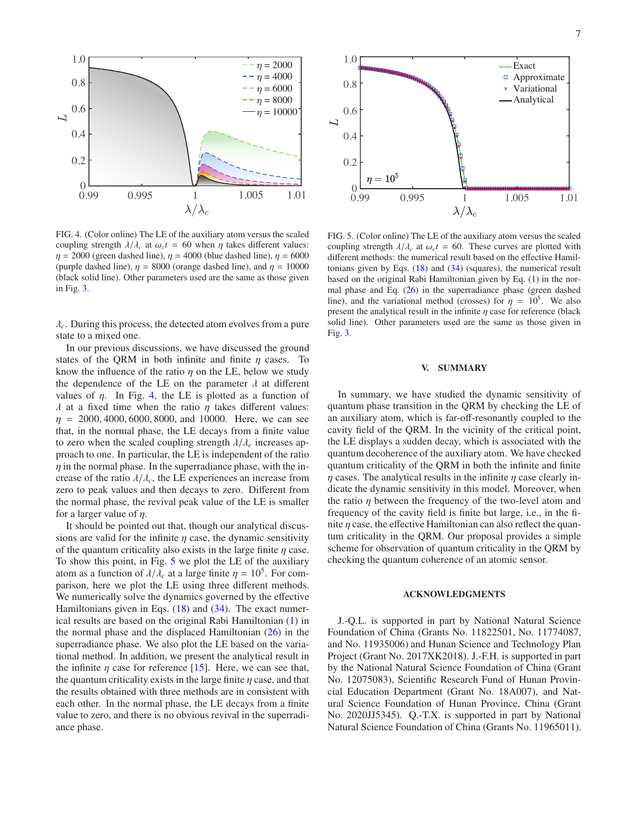

<span id="page-6-1"></span>FIG. 4. (Color online) The LE of the auxiliary atom versus the scaled coupling strength  $\lambda/\lambda_c$  at  $\omega_c t = 60$  when  $\eta$  takes different values:  $\eta = 2000$  (green dashed line),  $\eta = 4000$  (blue dashed line),  $\eta = 6000$ (purple dashed line),  $\eta = 8000$  (orange dashed line), and  $\eta = 10000$ (black solid line). Other parameters used are the same as those given in Fig. [3.](#page-5-4)

λ*c*. During this process, the detected atom evolves from a pure state to a mixed one.

In our previous discussions, we have discussed the ground states of the QRM in both infinite and finite  $\eta$  cases. To know the influence of the ratio  $\eta$  on the LE, below we study the dependence of the LE on the parameter  $\lambda$  at different values of  $\eta$ . In Fig. [4,](#page-6-1) the LE is plotted as a function of λ at a fixed time when the ratio  $η$  takes different values:  $\eta = 2000, 4000, 6000, 8000,$  and 10000. Here, we can see that, in the normal phase, the LE decays from a finite value to zero when the scaled coupling strength  $\lambda/\lambda_c$  increases approach to one. In particular, the LE is independent of the ratio  $\eta$  in the normal phase. In the superradiance phase, with the increase of the ratio  $\lambda/\lambda_c$ , the LE experiences an increase from zero to peak values and then decays to zero. Different from the normal phase, the revival peak value of the LE is smaller for a larger value of  $\eta$ .

It should be pointed out that, though our analytical discussions are valid for the infinite  $\eta$  case, the dynamic sensitivity of the quantum criticality also exists in the large finite  $\eta$  case. To show this point, in Fig. [5](#page-6-2) we plot the LE of the auxiliary atom as a function of  $\lambda/\lambda_c$  at a large finite  $\eta = 10^5$ . For comparison, here we plot the LE using three different methods. We numerically solve the dynamics governed by the effective Hamiltonians given in Eqs. [\(18\)](#page-2-5) and [\(34\)](#page-4-5). The exact numerical results are based on the original Rabi Hamiltonian [\(1\)](#page-1-7) in the normal phase and the displaced Hamiltonian  $(26)$  in the superradiance phase. We also plot the LE based on the variational method. In addition, we present the analytical result in the infinite  $\eta$  case for reference [\[15\]](#page-7-12). Here, we can see that, the quantum criticality exists in the large finite  $\eta$  case, and that the results obtained with three methods are in consistent with each other. In the normal phase, the LE decays from a finite value to zero, and there is no obvious revival in the superradiance phase.



<span id="page-6-2"></span>FIG. 5. (Color online) The LE of the auxiliary atom versus the scaled coupling strength  $\lambda/\lambda_c$  at  $\omega_c t = 60$ . These curves are plotted with different methods: the numerical result based on the effective Hamiltonians given by Eqs. [\(18\)](#page-2-5) and [\(34\)](#page-4-5) (squares), the numerical result based on the original Rabi Hamiltonian given by Eq. [\(1\)](#page-1-7) in the normal phase and Eq. [\(26\)](#page-4-0) in the superradiance phase (green dashed line), and the variational method (crosses) for  $\eta = 10^5$ . We also present the analytical result in the infinite  $\eta$  case for reference (black solid line). Other parameters used are the same as those given in Fig. [3.](#page-5-4)

## <span id="page-6-0"></span>V. SUMMARY

In summary, we have studied the dynamic sensitivity of quantum phase transition in the QRM by checking the LE of an auxiliary atom, which is far-off-resonantly coupled to the cavity field of the QRM. In the vicinity of the critical point, the LE displays a sudden decay, which is associated with the quantum decoherence of the auxiliary atom. We have checked quantum criticality of the QRM in both the infinite and finite  $\eta$  cases. The analytical results in the infinite  $\eta$  case clearly indicate the dynamic sensitivity in this model. Moreover, when the ratio  $\eta$  between the frequency of the two-level atom and frequency of the cavity field is finite but large, i.e., in the finite  $\eta$  case, the effective Hamiltonian can also reflect the quantum criticality in the QRM. Our proposal provides a simple scheme for observation of quantum criticality in the QRM by checking the quantum coherence of an atomic sensor.

#### ACKNOWLEDGMENTS

J.-Q.L. is supported in part by National Natural Science Foundation of China (Grants No. 11822501, No. 11774087, and No. 11935006) and Hunan Science and Technology Plan Project (Grant No. 2017XK2018). J.-F.H. is supported in part by the National Natural Science Foundation of China (Grant No. 12075083), Scientific Research Fund of Hunan Provincial Education Department (Grant No. 18A007), and Natural Science Foundation of Hunan Province, China (Grant No. 2020JJ5345). Q.-T.X. is supported in part by National Natural Science Foundation of China (Grants No. 11965011).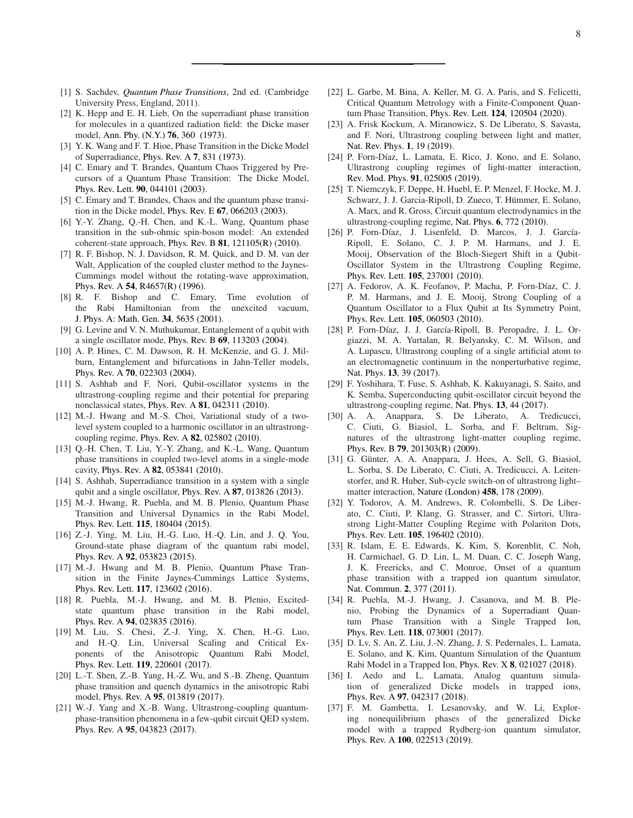- <span id="page-7-0"></span>[1] S. Sachdev, *[Quantum Phase Transitions](https://doi.org/10.1017/CBO9780511973765)*, 2nd ed. (Cambridge University Press, England, 2011).
- <span id="page-7-1"></span>[2] K. Hepp and E. H. Lieb, On the superradiant phase transition for molecules in a quantized radiation field: the Dicke maser model, [Ann. Phy. \(N.Y.\)](https://doi.org/https://doi.org/10.1016/0003-4916(73)90039-0) 76, 360 (1973).
- [3] Y. K. Wang and F. T. Hioe, Phase Transition in the Dicke Model of Superradiance, [Phys. Rev. A](https://doi.org/10.1103/PhysRevA.7.831) 7, 831 (1973).
- [4] C. Emary and T. Brandes, Quantum Chaos Triggered by Precursors of a Quantum Phase Transition: The Dicke Model, Phys. Rev. Lett. 90[, 044101 \(2003\).](https://doi.org/10.1103/PhysRevLett.90.044101)
- [5] C. Emary and T. Brandes, Chaos and the quantum phase transition in the Dicke model, Phys. Rev. E 67[, 066203 \(2003\).](https://doi.org/10.1103/PhysRevE.67.066203)
- <span id="page-7-2"></span>[6] Y.-Y. Zhang, Q.-H. Chen, and K.-L. Wang, Quantum phase transition in the sub-ohmic spin-boson model: An extended coherent-state approach, Phys. Rev. B 81[, 121105\(R\) \(2010\).](https://doi.org/10.1103/PhysRevB.81.121105)
- [7] R. F. Bishop, N. J. Davidson, R. M. Quick, and D. M. van der Walt, Application of the coupled cluster method to the Jaynes-Cummings model without the rotating-wave approximation, Phys. Rev. A 54[, R4657\(R\) \(1996\).](https://doi.org/10.1103/PhysRevA.54.R4657)
- [8] R. F. Bishop and C. Emary, Time evolution of the Rabi Hamiltonian from the unexcited vacuum, [J. Phys. A: Math. Gen.](https://doi.org/10.1088/0305-4470/34/28/302) 34, 5635 (2001).
- [9] G. Levine and V. N. Muthukumar, Entanglement of a qubit with a single oscillator mode, Phys. Rev. B 69[, 113203 \(2004\).](https://doi.org/10.1103/PhysRevB.69.113203)
- [10] A. P. Hines, C. M. Dawson, R. H. McKenzie, and G. J. Milburn, Entanglement and bifurcations in Jahn-Teller models, Phys. Rev. A 70[, 022303 \(2004\).](https://doi.org/10.1103/PhysRevA.70.022303)
- [11] S. Ashhab and F. Nori, Qubit-oscillator systems in the ultrastrong-coupling regime and their potential for preparing nonclassical states, Phys. Rev. A 81[, 042311 \(2010\).](https://doi.org/10.1103/PhysRevA.81.042311)
- [12] M.-J. Hwang and M.-S. Choi, Variational study of a twolevel system coupled to a harmonic oscillator in an ultrastrongcoupling regime, Phys. Rev. A 82[, 025802 \(2010\).](https://doi.org/10.1103/PhysRevA.82.025802)
- [13] Q.-H. Chen, T. Liu, Y.-Y. Zhang, and K.-L. Wang, Quantum phase transitions in coupled two-level atoms in a single-mode cavity, Phys. Rev. A 82[, 053841 \(2010\).](https://doi.org/10.1103/PhysRevA.82.053841)
- [14] S. Ashhab, Superradiance transition in a system with a single qubit and a single oscillator, Phys. Rev. A 87[, 013826 \(2013\).](https://doi.org/10.1103/PhysRevA.87.013826)
- <span id="page-7-12"></span>[15] M.-J. Hwang, R. Puebla, and M. B. Plenio, Quantum Phase Transition and Universal Dynamics in the Rabi Model, Phys. Rev. Lett. 115[, 180404 \(2015\).](https://doi.org/10.1103/PhysRevLett.115.180404)
- <span id="page-7-14"></span>[16] Z.-J. Ying, M. Liu, H.-G. Luo, H.-Q. Lin, and J. Q. You, Ground-state phase diagram of the quantum rabi model, Phys. Rev. A 92[, 053823 \(2015\).](https://doi.org/10.1103/PhysRevA.92.053823)
- [17] M.-J. Hwang and M. B. Plenio, Quantum Phase Transition in the Finite Jaynes-Cummings Lattice Systems, Phys. Rev. Lett. 117[, 123602 \(2016\).](https://doi.org/10.1103/PhysRevLett.117.123602)
- [18] R. Puebla, M.-J. Hwang, and M. B. Plenio, Excitedstate quantum phase transition in the Rabi model, Phys. Rev. A 94[, 023835 \(2016\).](https://doi.org/10.1103/PhysRevA.94.023835)
- [19] M. Liu, S. Chesi, Z.-J. Ying, X. Chen, H.-G. Luo, and H.-Q. Lin, Universal Scaling and Critical Exponents of the Anisotropic Quantum Rabi Model, Phys. Rev. Lett. 119[, 220601 \(2017\).](https://doi.org/10.1103/PhysRevLett.119.220601)
- [20] L.-T. Shen, Z.-B. Yang, H.-Z. Wu, and S.-B. Zheng, Quantum phase transition and quench dynamics in the anisotropic Rabi model, Phys. Rev. A 95[, 013819 \(2017\).](https://doi.org/10.1103/PhysRevA.95.013819)
- <span id="page-7-3"></span>[21] W.-J. Yang and X.-B. Wang, Ultrastrong-coupling quantumphase-transition phenomena in a few-qubit circuit QED system, Phys. Rev. A 95[, 043823 \(2017\).](https://doi.org/10.1103/PhysRevA.95.043823)
- <span id="page-7-4"></span>[22] L. Garbe, M. Bina, A. Keller, M. G. A. Paris, and S. Felicetti, Critical Quantum Metrology with a Finite-Component Quantum Phase Transition, Phys. Rev. Lett. 124[, 120504 \(2020\).](https://doi.org/10.1103/PhysRevLett.124.120504)
- <span id="page-7-5"></span>[23] A. Frisk Kockum, A. Miranowicz, S. De Liberato, S. Savasta, and F. Nori, Ultrastrong coupling between light and matter, [Nat. Rev. Phys.](https://doi.org/10.1038/s42254-018-0006-2) 1, 19 (2019).
- <span id="page-7-13"></span>[24] P. Forn-Díaz, L. Lamata, E. Rico, J. Kono, and E. Solano, Ultrastrong coupling regimes of light-matter interaction, [Rev. Mod. Phys.](https://doi.org/10.1103/RevModPhys.91.025005) 91, 025005 (2019).
- <span id="page-7-6"></span>[25] T. Niemczyk, F. Deppe, H. Huebl, E. P. Menzel, F. Hocke, M. J. Schwarz, J. J. Garcia-Ripoll, D. Zueco, T. Hümmer, E. Solano, A. Marx, and R. Gross, Circuit quantum electrodynamics in the ultrastrong-coupling regime, Nat. Phys. 6[, 772 \(2010\).](https://doi.org/10.1038/nphys1730)
- [26] P. Forn-Díaz, J. Lisenfeld, D. Marcos, J. J. García-Ripoll, E. Solano, C. J. P. M. Harmans, and J. E. Mooij, Observation of the Bloch-Siegert Shift in a Qubit-Oscillator System in the Ultrastrong Coupling Regime, Phys. Rev. Lett. 105[, 237001 \(2010\).](https://doi.org/10.1103/PhysRevLett.105.237001)
- [27] A. Fedorov, A. K. Feofanov, P. Macha, P. Forn-Díaz, C. J. P. M. Harmans, and J. E. Mooij, Strong Coupling of a Quantum Oscillator to a Flux Qubit at Its Symmetry Point, Phys. Rev. Lett. 105[, 060503 \(2010\).](https://doi.org/10.1103/PhysRevLett.105.060503)
- [28] P. Forn-Díaz, J. J. García-Ripoll, B. Peropadre, J. L. Orgiazzi, M. A. Yurtalan, R. Belyansky, C. M. Wilson, and A. Lupascu, Ultrastrong coupling of a single artificial atom to an electromagnetic continuum in the nonperturbative regime, Nat. Phys. 13[, 39 \(2017\).](https://doi.org/10.1038/nphys3905)
- <span id="page-7-7"></span>[29] F. Yoshihara, T. Fuse, S. Ashhab, K. Kakuyanagi, S. Saito, and K. Semba, Superconducting qubit-oscillator circuit beyond the ultrastrong-coupling regime, Nat. Phys. 13[, 44 \(2017\).](https://doi.org/10.1038/nphys3906)
- <span id="page-7-8"></span>[30] A. A. Anappara, S. De Liberato, A. Tredicucci, C. Ciuti, G. Biasiol, L. Sorba, and F. Beltram, Signatures of the ultrastrong light-matter coupling regime, Phys. Rev. B 79[, 201303\(R\) \(2009\).](https://doi.org/10.1103/PhysRevB.79.201303)
- [31] G. Günter, A. A. Anappara, J. Hees, A. Sell, G. Biasiol, L. Sorba, S. De Liberato, C. Ciuti, A. Tredicucci, A. Leitenstorfer, and R. Huber, Sub-cycle switch-on of ultrastrong light– matter interaction, [Nature \(London\)](https://doi.org/10.1038/nature07838) 458, 178 (2009).
- <span id="page-7-9"></span>[32] Y. Todorov, A. M. Andrews, R. Colombelli, S. De Liberato, C. Ciuti, P. Klang, G. Strasser, and C. Sirtori, Ultrastrong Light-Matter Coupling Regime with Polariton Dots, Phys. Rev. Lett. 105[, 196402 \(2010\).](https://doi.org/10.1103/PhysRevLett.105.196402)
- <span id="page-7-10"></span>[33] R. Islam, E. E. Edwards, K. Kim, S. Korenblit, C. Noh, H. Carmichael, G. D. Lin, L. M. Duan, C. C. Joseph Wang, J. K. Freericks, and C. Monroe, Onset of a quantum phase transition with a trapped ion quantum simulator, [Nat. Commun.](https://doi.org/10.1038/ncomms1374) 2, 377 (2011).
- [34] R. Puebla, M.-J. Hwang, J. Casanova, and M. B. Plenio, Probing the Dynamics of a Superradiant Quantum Phase Transition with a Single Trapped Ion, Phys. Rev. Lett. 118[, 073001 \(2017\).](https://doi.org/10.1103/PhysRevLett.118.073001)
- [35] D. Lv, S. An, Z. Liu, J.-N. Zhang, J. S. Pedernales, L. Lamata, E. Solano, and K. Kim, Quantum Simulation of the Quantum Rabi Model in a Trapped Ion, Phys. Rev. X 8[, 021027 \(2018\).](https://doi.org/10.1103/PhysRevX.8.021027)
- [36] I. Aedo and L. Lamata, Analog quantum simulation of generalized Dicke models in trapped ions, Phys. Rev. A 97[, 042317 \(2018\).](https://doi.org/10.1103/PhysRevA.97.042317)
- <span id="page-7-11"></span>[37] F. M. Gambetta, I. Lesanovsky, and W. Li, Exploring nonequilibrium phases of the generalized Dicke model with a trapped Rydberg-ion quantum simulator, Phys. Rev. A 100[, 022513 \(2019\).](https://doi.org/10.1103/PhysRevA.100.022513)